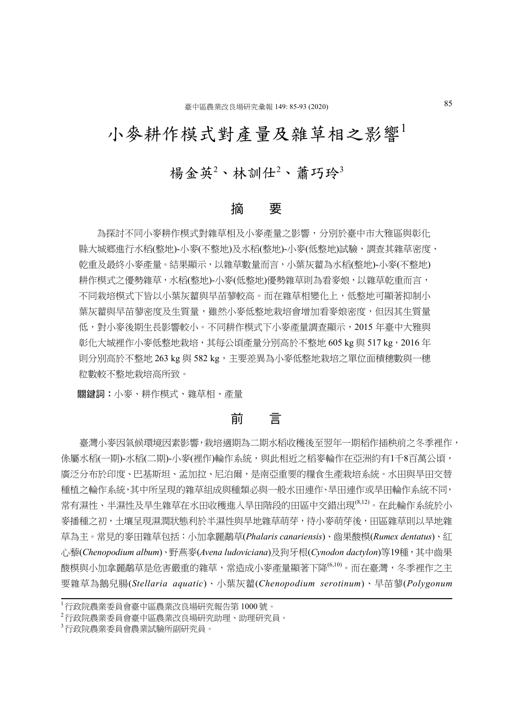## 小麥耕作模式對產量及雜草相之影響

## 揚金英<sup>2</sup>、林訓仕<sup>2</sup>、蕭巧玲3

### 摘 要

為探討不同小麥耕作模式對雜草相及小麥產量之影響,分別於臺中市大雅區與彰化 縣大城鄉進行水稻(整地)-小麥(不整地)及水稻(整地)-小麥(低整地)試驗,調查其雜草密度、 乾重及最終小麥產量。結果顯示,以雜草數量而言,小葉灰藋為水稻(整地)-小麥(不整地) 耕作模式之優勢雜草,水稻(整地)-小麥(低整地)優勢雜草則為看麥娘,以雜草乾重而言, 不同栽培模式下皆以小葉灰藋與早苗蓼較高。而在雜草相變化上,低整地可顯著抑制小 葉灰藋與早苗蓼密度及生質量,雖然小麥低整地栽培會增加看麥娘密度,但因其生質量 低,對小麥後期生長影響較小。不同耕作模式下小麥產量調查顯示,2015 年臺中大雅與 彰化大城裡作小麥低整地栽培,其每公頃產量分別高於不整地 605 kg 與 517 kg,2016 年 則分別高於不整地 263 kg 與 582 kg,主要差異為小麥低整地栽培之單位面積穗數與一穗 粒數較不整地栽培高所致。

關鍵詞:小麥、耕作模式、雜草相、產量

## 前 言

 臺灣小麥因氣候環境因素影響,栽培適期為二期水稻收穫後至翌年一期稻作插秧前之冬季裡作, 係屬水稻(一期)-水稻(二期)-小麥(裡作)輪作系統,與此相近之稻麥輪作在亞洲約有1千8百萬公頃, 廣泛分布於印度、巴基斯坦、孟加拉、尼泊爾,是南亞重要的糧食生產栽培系統。水田與旱田交替 種植之輪作系統,其中所呈現的雜草組成與種類必與一般水田連作、旱田連作或旱田輪作系統不同, 常有濕性、半濕性及旱生雜草在水田收穫進入旱田階段的田區中交錯出現<sup>(8,12)</sup>。在此輪作系統於小 麥播種之初,土壤呈現濕潤狀態利於半濕性與旱地雜草萌芽,待小麥萌芽後,田區雜草則以旱地雜 草為主。常見的麥田雜草包括:小加拿麗鷸草(*Phalaris canariensis*)、齒果酸模(*Rumex dentatus*)、紅 心藜(*Chenopodium album*)、野燕麥(*Avena ludoviciana*)及狗牙根(*Cynodon dactylon*)等19種,其中齒果 酸模與小加拿麗鷸草是危害嚴重的雜草,常造成小麥產量顯著下降<sup>(6,10)</sup>。而在臺灣,冬季裡作之主 要雜草為鵝兒腸(*Stellaria aquatic*)、小葉灰藋(*Chenopodium serotinum*)、早苗蓼(*Polygonum*

<sup>1</sup>行政院農業委員會臺中區農業改良場研究報告第 1000 號。

<sup>2</sup>行政院農業委員會臺中區農業改良場研究助理、助理研究員。

<sup>3</sup>行政院農業委員會農業試驗所副研究員。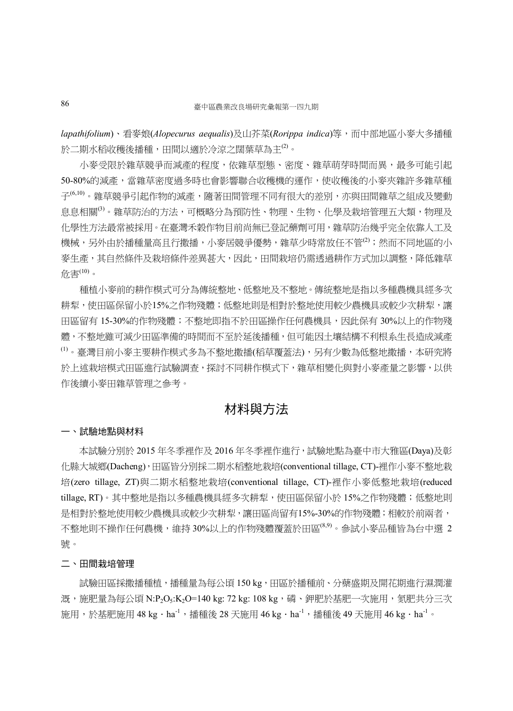*lapathifolium*)、看麥娘(*Alopecurus aequalis*)及山芥菜(*Rorippa indica*)等,而中部地區小麥大多播種 於二期水稻收穫後播種,田間以適於冷涼之闊葉草為主<sup>(2)</sup>。

小麥受限於雜草競爭而減產的程度,依雜草型態、密度、雜草萌芽時間而異,最多可能引起 50-80%的減產,當雜草密度過多時也會影響聯合收穫機的運作,使收穫後的小麥夾雜許多雜草種 子<sup>(6,10)</sup>。雜草競爭引起作物的減產,隨著田間管理不同有很大的差別,亦與田間雜草之組成及變動 息息相關<sup>(3)</sup>。雜草防治的方法,可概略分為預防性、物理、生物、化學及栽培管理五大類,物理及 化學性方法最常被採用。在臺灣禾穀作物目前尚無已登記藥劑可用,雜草防治幾乎完全依靠人工及 機械,另外由於播種量高且行撒播,小麥居競爭優勢,雜草少時常放任不管<sup>(2)</sup>;然而不同地區的小 麥生產,其自然條件及栽培條件差異甚大,因此,田間栽培仍需透過耕作方式加以調整,降低雜草 危害(10)。

種植小麥前的耕作模式可分為傳統整地、低整地及不整地。傳統整地是指以多種農機具經多次 耕犁,使田區保留小於15%之作物殘體;低整地則是相對於整地使用較少農機具或較少次耕犁,讓 田區留有 15-30%的作物殘體;不整地即指不於田區操作任何農機具,因此保有 30%以上的作物殘 體,不整地雖可減少田區準備的時間而不至於延後播種,但可能因土壤結構不利根系生長造成減產 <sup>(1)</sup>。臺灣目前小麥主要耕作模式多為不整地撒播(稻草覆蓋法),另有少數為低整地撒播,本研究將 於上述栽培模式田區進行試驗調查,探討不同耕作模式下,雜草相變化與對小麥產量之影響,以供 作後續小麥田雜草管理之參考。

## 材料與方法

#### 一、試驗地點與材料

本試驗分別於 2015 年冬季裡作及 2016 年冬季裡作進行,試驗地點為臺中市大雅區(Daya)及彰 化縣大城鄉(Dacheng),田區皆分別採二期水稻整地栽培(conventional tillage, CT)-裡作小麥不整地栽 培(zero tillage, ZT)與二期水稻整地栽培(conventional tillage, CT)-裡作小麥低整地栽培(reduced tillage, RT)。其中整地是指以多種農機具經多次耕犁,使田區保留小於 15%之作物殘體;低整地則 是相對於整地使用較少農機具或較少次耕犁,讓田區尚留有15%-30%的作物殘體;相較於前兩者, 不整地則不操作任何農機,維持 30%以上的作物殘體覆蓋於田區<sup>(8,9)</sup>。參試小麥品種皆為台中選 2 號。

#### 二、田間栽培管理

試驗田區採撒播種植,播種量為每公頃 150 kg,田區於播種前、分蘖盛期及開花期進行濕潤灌 溉,施肥量為每公頃 N:P2O5:K2O=140 kg: 72 kg: 108 kg,磷、鉀肥於基肥一次施用,氡肥共分三次 施用,於基肥施用 48 kg · ha<sup>-1</sup>,播種後 28 天施用 46 kg · ha<sup>-1</sup>,播種後 49 天施用 46 kg · ha<sup>-1</sup>。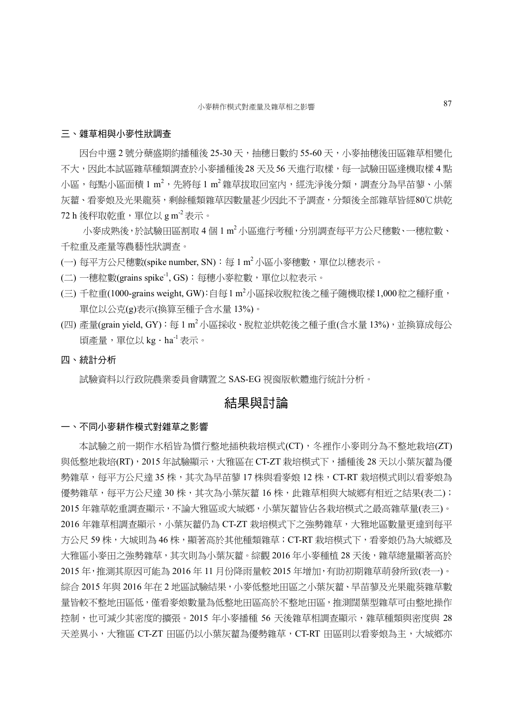#### 三、雜草相與小麥性狀調查

因台中選 2 號分蘗盛期約播種後 25-30 天,抽穗日數約 55-60 天,小麥抽穗後田區雜草相變化 不大,因此本試區雜草種類調查於小麥播種後28 天及 56 天進行取樣,每一試驗田區逢機取樣 4 點 小區,每點小區面積 1 m<sup>2</sup>,先將每 1 m<sup>2</sup> 雜草拔取回室内,經洗淨後分類,調查分為早苗蓼、小葉 灰藋、看麥娘及光果龍葵,剩餘種類雜草因數量甚少因此不予調查,分類後全部雜草皆經80℃烘乾  $72 h$  後秤取乾重, 單位以 g m<sup>-2</sup>表示。

小麥成熟後,於試驗田區割取 4 個 1 m<sup>2</sup> 小區進行考種, 分別調查每平方公尺穗數、一穗粒數、 千粒重及產量等農藝性狀調查。

 $(-)$  每平方公尺穗數(spike number, SN):每 1 m<sup>2</sup> 小區小麥穗數,單位以穗表示。

- $($ 二) 一穗粒數(grains spike $^{-1}$ , GS):每穗小麥粒數,單位以粒表示。
- $(1)$  千粒重(1000-grains weight, GW):自每1m<sup>2</sup>小區採收脫粒後之種子隨機取樣1,000粒之種籽重, 單位以公克(g)表示(換算至種子含水量 13%)。
- (四) 產量(grain yield, GY): 每 1 m<sup>2</sup> 小區採收、脫粒並烘乾後之種子重(含水量 13%),並換算成每公 頃產量,單位以 kg.ha-1 表示。

四、統計分析

試驗資料以行政院農業委員會購置之 SAS-EG 視窗版軟體進行統計分析。

## 結果與討論

一、不同小麥耕作模式對雜草之影響

本試驗之前一期作水稻皆為慣行整地插秧栽培模式(CT),冬裡作小麥則分為不整地栽培(ZT) 與低整地栽培(RT), 2015 年試驗顯示, 大雅區在 CT-ZT 栽培模式下,播種後 28 天以小葉灰藋為優 勢雜草,每平方公尺達 35 株,其次為早苗蓼 17 株與看麥娘 12 株,CT-RT 栽培模式則以看麥娘為 優勢雜草,每平方公尺達 30 株,其次為小葉灰藋 16 株,此雜草相與大城鄉有相近之結果(表二); 2015 年雜草乾重調查顯示,不論大雅區或大城鄉,小葉灰藋皆佔各栽培模式之最高雜草量(表三)。 2016 年雜草相調查顯示,小葉灰藋仍為 CT-ZT 栽培模式下之強勢雜草,大雅地區數量更達到每平 方公尺 59 株,大城則為 46 株,顯著高於其他種類雜草;CT-RT 栽培模式下,看麥娘仍為大城鄉及 大雅區小麥田之強勢雜草,其次則為小葉灰藋。綜觀 2016 年小麥種植 28 天後,雜草總量顯著高於 2015 年,推測其原因可能為 2016 年 11 月份降雨量較 2015 年增加,有助初期雜草萌發所致(表一)。 綜合 2015 年與 2016 年在 2 地區試驗結果,小麥低整地田區之小葉灰藋、早苗蓼及光果龍葵雜草數 量皆較不整地田區低,僅看麥娘數量為低整地田區高於不整地田區,推測闊葉型雜草可由整地操作 控制,也可減少其密度的擴張。2015 年小麥播種 56 天後雜草相調查顯示,雜草種類與密度與 28 天差異小,大雅區 CT-ZT 田區仍以小葉灰藋為優勢雜草,CT-RT 田區則以看麥娘為主,大城鄉亦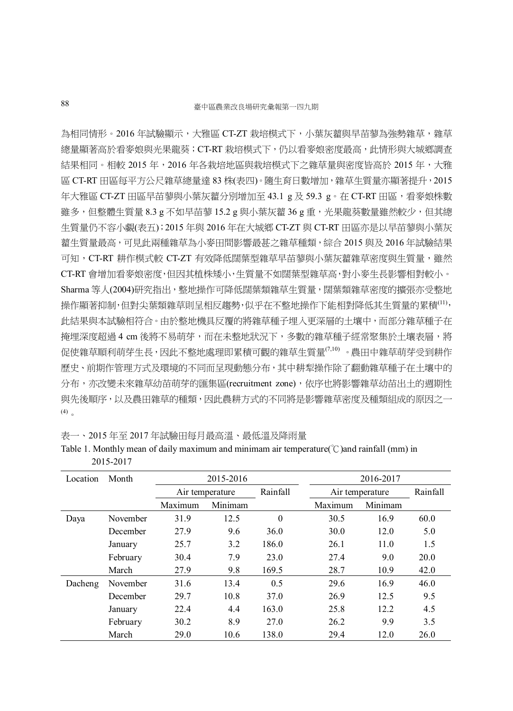為相同情形。2016 年試驗顯示,大雅區 CT-ZT 栽培模式下,小葉灰藋與早苗蓼為強勢雜草,雜草 總量顯著高於看麥娘與光果龍葵;CT-RT 栽培模式下,仍以看麥娘密度最高,此情形與大城鄉調查 結果相同。相較 2015 年,2016 年各栽培地區與栽培模式下之雜草量與密度皆高於 2015 年,大雅 區 CT-RT 田區每平方公尺雜草總量達 83 株(表四)。隨生育日數增加,雜草生質量亦顯著提升,2015 年大雅區 CT-ZT 田區早苗蓼與小葉灰藋分別增加至 43.1 g 及 59.3 g。在 CT-RT 田區,看麥娘株數 雖多,但整體生質量 8.3 g 不如早苗蓼 15.2 g 與小葉灰藋 36 g 重,光果龍葵數量雖然較少,但其總 生質量仍不容小覷(表五);2015 年與 2016 年在大城鄉 CT-ZT 與 CT-RT 田區亦是以早苗蓼與小葉灰 藋生質量最高,可見此兩種雜草為小麥田間影響最甚之雜草種類,綜合 2015 與及 2016 年試驗結果 可知,CT-RT 耕作模式較 CT-ZT 有效降低闊葉型雜草早苗蓼與小葉灰藋雜草密度與生質量,雖然 CT-RT 會增加看麥娘密度,但因其植株矮小,生質量不如闊葉型雜草高,對小麥生長影響相對較小。 Sharma 等人(2004)研究指出,整地操作可降低闊葉類雜草生質量,闊葉類雜草密度的擴張亦受整地 操作顯著抑制,但對尖葉類雜草則呈相反趨勢,似乎在不整地操作下能相對降低其生質量的累積<sup>(11)</sup>, 此結果與本試驗相符合。由於整地機具反覆的將雜草種子埋入更深層的土壤中,而部分雜草種子在 掩埋深度超過 4 cm 後將不易萌芽,而在未整地狀況下,多數的雜草種子經常聚集於土壤表層,將 促使雜草順利萌芽生長,因此不整地處理即累積可觀的雜草生質量<sup>(7,10</sup>) 。農田中雜草萌芽受到耕作 歷史、前期作管理方式及環境的不同而呈現動態分布,其中耕犁操作除了翻動雜草種子在土壤中的 分布,亦改變未來雜草幼苗萌芽的匯集區(recruitment zone),依序也將影響雜草幼苗出土的週期性 與先後順序,以及農田雜草的種類,因此農耕方式的不同將是影響雜草密度及種類組成的原因之一  $(4)$ <sub>0</sub>

表一、2015 年至 2017 年試驗田每月最高溫、最低溫及降雨量

| Table 1. Monthly mean of daily maximum and minimam air temperature $(\mathcal{C})$ and rainfall (mm) in |  |  |
|---------------------------------------------------------------------------------------------------------|--|--|
| 2015-2017                                                                                               |  |  |

| Location | Month    |                 | 2015-2016 |          |         | 2016-2017       |      |  |  |  |
|----------|----------|-----------------|-----------|----------|---------|-----------------|------|--|--|--|
|          |          | Air temperature |           | Rainfall |         | Air temperature |      |  |  |  |
|          |          | Maximum         | Minimam   |          | Maximum | Minimam         |      |  |  |  |
| Daya     | November | 12.5<br>31.9    |           | $\theta$ | 30.5    | 16.9            | 60.0 |  |  |  |
|          | December | 27.9            | 9.6       | 36.0     | 30.0    | 12.0            | 5.0  |  |  |  |
|          | January  | 25.7            | 3.2       | 186.0    | 26.1    | 11.0            | 1.5  |  |  |  |
|          | February | 30.4            | 7.9       | 23.0     | 27.4    | 9.0             | 20.0 |  |  |  |
|          | March    | 27.9            | 9.8       | 169.5    | 28.7    | 10.9            | 42.0 |  |  |  |
| Dacheng  | November | 31.6            | 13.4      | 0.5      | 29.6    | 16.9            | 46.0 |  |  |  |
|          | December | 29.7            | 10.8      | 37.0     | 26.9    | 12.5            | 9.5  |  |  |  |
|          | January  | 22.4            | 4.4       | 163.0    | 25.8    | 12.2            | 4.5  |  |  |  |
|          | February | 30.2            | 8.9       | 27.0     | 26.2    | 9.9             | 3.5  |  |  |  |
|          | March    | 29.0            | 10.6      | 138.0    | 29.4    | 12.0            | 26.0 |  |  |  |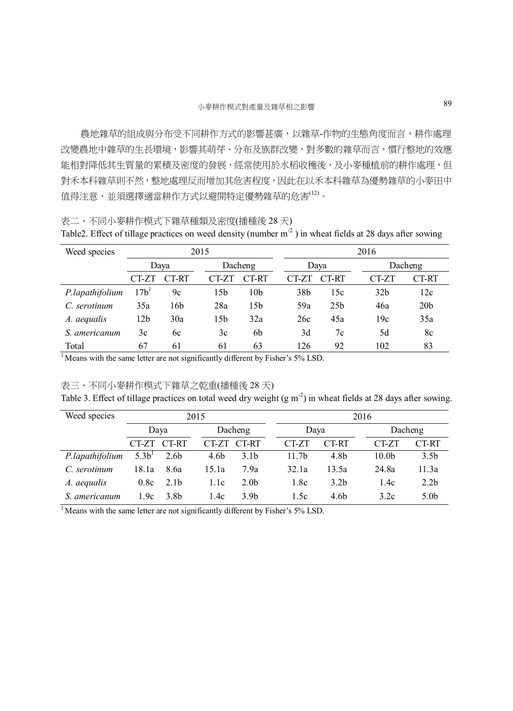農地雜草的組成與分布受不同耕作方式的影響甚廣,以雜草-作物的生態角度而言,耕作處理 改變農地中雜草的生長環境,影響其萌芽、分布及族群改變,對多數的雜草而言,慣行整地的效應 能相對降低其生質量的累積及密度的發展,經常使用於水稻收穫後,及小麥種植前的耕作處理,但 對禾本科雜草則不然,整地處理反而增加其危害程度,因此在以禾本科雜草為優勢雜草的小麥田中 值得注意,並須選擇適當耕作方式以避開特定優勢雜草的危害(12)。

表二、不同小麥耕作模式下雜草種類及密度(播種後 28 天)

| Table2. Effect of tillage practices on weed density (number $m2$ ) in wheat fields at 28 days after sowing |  |  |  |  |
|------------------------------------------------------------------------------------------------------------|--|--|--|--|
|                                                                                                            |  |  |  |  |
|                                                                                                            |  |  |  |  |
|                                                                                                            |  |  |  |  |

| Weed species    | 2015             |       |                 |                 |  | 2016  |                 |  |                 |                 |  |
|-----------------|------------------|-------|-----------------|-----------------|--|-------|-----------------|--|-----------------|-----------------|--|
|                 |                  | Dava  |                 | Dacheng         |  | Daya  |                 |  | Dacheng         |                 |  |
|                 | CT-ZT            | CT-RT | CT-ZT           | CT-RT           |  | CT-ZT | CT-RT           |  | CT-ZT           | CT-RT           |  |
| P.lapathifolium | 17b <sup>1</sup> | 9c    | 15 <sub>b</sub> | 10 <sub>b</sub> |  | 38b   | 15c             |  | 32 <sub>b</sub> | 12c             |  |
| C. serotinum    | 35a              | 16b   | 28a             | 15b             |  | 59a   | 25 <sub>b</sub> |  | 46a             | 20 <sub>b</sub> |  |
| A. aequalis     | 12b              | 30a   | 15b             | 32a             |  | 26c   | 45a             |  | 19c             | 35a             |  |
| S. americanum   | 3c               | 6c    | 3c              | 6b              |  | 3d    | 7c              |  | 5d              | 8c              |  |
| Total           | 67               | 61    | 61              | 63              |  | 126   | 92              |  | 102             | 83              |  |

 $\frac{1}{1}$ Means with the same letter are not significantly different by Fisher's 5% LSD.

#### 表三、不同小麥耕作模式下雜草之乾重(播種後 28 天)

Table 3. Effect of tillage practices on total weed dry weight (g m<sup>-2</sup>) in wheat fields at 28 days after sowing.

| Weed species    | 2015             |                  |       |                  | 2016              |                  |  |                   |                  |  |
|-----------------|------------------|------------------|-------|------------------|-------------------|------------------|--|-------------------|------------------|--|
|                 | Dacheng<br>Dava  |                  | Dava  |                  |                   | Dacheng          |  |                   |                  |  |
|                 | CT-ZT            | CT-RT            | CT-ZT | CT-RT            | CT-ZT             | CT-RT            |  | CT-ZT             | CT-RT            |  |
| P.lapathifolium | 5.3 <sup>1</sup> | 2.6 <sub>b</sub> | 4.6b  | 3.1 <sub>b</sub> | 11.7 <sub>b</sub> | 4.8b             |  | 10.0 <sub>b</sub> | 3.5 <sub>b</sub> |  |
| C. serotinum    | 18.1a            | 8.6a             | 15.1a | 7 9a             | 32.1a             | 13.5a            |  | 24.8a             | 11.3a            |  |
| A. aequalis     | 0.8c             | 2.1 <sub>b</sub> | 1.1c  | 2.0 <sub>b</sub> | 1.8c              | 3.2 <sub>b</sub> |  | 1.4c              | 2.2 <sub>b</sub> |  |
| S. americanum   | 1.9c             | 3.8b             | 1.4c  | 3.9 <sub>b</sub> | 1.5c              | 4.6b             |  | 3.2c              | 5.0 <sub>b</sub> |  |

 $1$ Means with the same letter are not significantly different by Fisher's 5% LSD.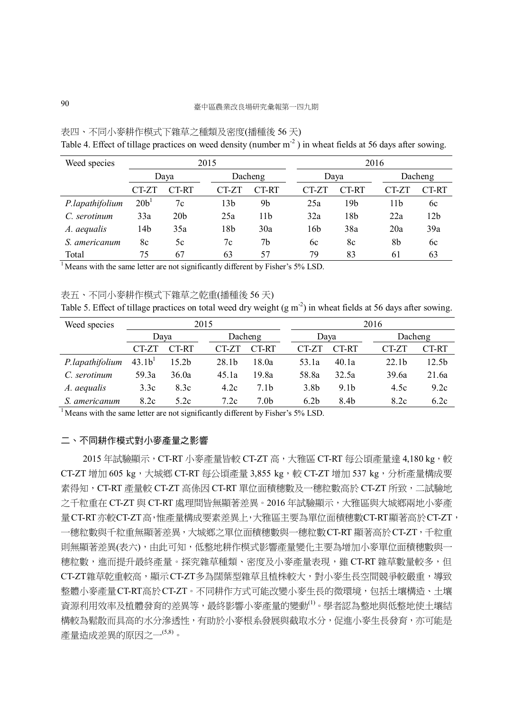| Weed species    |                 |                 | 2015            |                 |       |                 | 2016 |         |                 |  |  |
|-----------------|-----------------|-----------------|-----------------|-----------------|-------|-----------------|------|---------|-----------------|--|--|
|                 |                 | Daya            |                 | Dacheng         | Daya  |                 |      | Dacheng |                 |  |  |
|                 | CT-ZT           | CT-RT           | CT-ZT           | CT-RT           | CT-ZT | CT-RT           |      | CT-ZT   | CT-RT           |  |  |
| P.lapathifolium | 20 <sup>1</sup> | 7c              | 13 <sub>b</sub> | 9b              | 25a   | 19 <sub>b</sub> |      | 11b     | 6c              |  |  |
| C. serotinum    | 33a             | 20 <sub>b</sub> | 25a             | 11 <sub>b</sub> | 32a   | 18 <sub>b</sub> |      | 22a     | 12 <sub>b</sub> |  |  |
| A. aequalis     | 14b             | 35a             | 18b             | 30a             | 16b   | 38a             |      | 20a     | 39a             |  |  |
| S. americanum   | 8c              | 5c              | 7c              | 7b              | 6c    | 8c              |      | 8b      | 6c              |  |  |
| Total           | 75              | 67              | 63              | 57              | 79    | 83              |      | 61      | 63              |  |  |

表四、不同小麥耕作模式下雜草之種類及密度(播種後 56 天) Table 4. Effect of tillage practices on weed density (number m<sup>-2</sup>) in wheat fields at 56 days after sowing.

<sup>1</sup> Means with the same letter are not significantly different by Fisher's 5% LSD.

#### 表五、不同小麥耕作模式下雜草之乾重(播種後 56 天)

Table 5. Effect of tillage practices on total weed dry weight  $(g m<sup>-2</sup>)$  in wheat fields at 56 days after sowing.

| Weed species    | 2015              |                   |                   |                  |  | 2016             |                  |  |                   |       |  |
|-----------------|-------------------|-------------------|-------------------|------------------|--|------------------|------------------|--|-------------------|-------|--|
|                 | Dava              |                   | Dacheng           |                  |  | Dacheng<br>Dava  |                  |  |                   |       |  |
|                 | CT-RT<br>CT-ZT    |                   | CT-ZT             | CT-RT            |  | CT-ZT            | CT-RT            |  | CT-ZT             | CT-RT |  |
| P.lapathifolium | 43.1 <sup>1</sup> | 15.2 <sub>b</sub> | 28.1 <sub>b</sub> | 18.0a            |  | 53.1a            | 40.1a            |  | 22.1 <sub>b</sub> | 12.5b |  |
| C. serotinum    | 59.3a             | 36.0a             | 45.1a             | 19.8a            |  | 58.8a            | 32.5a            |  | 39.6a             | 21.6a |  |
| A. aequalis     | 3.3c              | 8.3c              | 4.2c              | 7.1 <sub>b</sub> |  | 3.8 <sub>b</sub> | 9.1 <sub>b</sub> |  | 4.5c              | 9.2c  |  |
| S. americanum   | 8.2c<br>5.2c      |                   | 7.2c              | 7.0 <sub>b</sub> |  | 6.2 <sub>b</sub> | 8.4b             |  | 8.2c              | 6.2c  |  |

<sup>1</sup> Means with the same letter are not significantly different by Fisher's 5% LSD.

#### 二、不同耕作模式對小麥產量之影響

2015 年試驗顯示, CT-RT 小麥產量皆較 CT-ZT 高, 大雅區 CT-RT 每公頃產量達 4,180 kg, 較 CT-ZT 增加 605 kg,大城鄉 CT-RT 每公頃產量 3,855 kg,較 CT-ZT 增加 537 kg,分析產量構成要 素得知,CT-RT 產量較 CT-ZT 高係因 CT-RT 單位面積穗數及一穗粒數高於 CT-ZT 所致,二試驗地 之千粒重在 CT-ZT 與 CT-RT 處理間皆無顯著差異。2016 年試驗顯示,大雅區與大城鄉兩地小麥產 量CT-RT亦較CT-ZT高,惟產量構成要素差異上,大雅區主要為單位面積穗數CT-RT顯著高於CT-ZT, 一穗粒數與千粒重無顯著差異,大城鄉之單位面積穗數與一穗粒數CT-RT 顯著高於CT-ZT,千粒重 則無顯著差異(表六),由此可知,低整地耕作模式影響產量變化主要為增加小麥單位面積穗數與一 穗粒數,進而提升最終產量。探究雜草種類、密度及小麥產量表現,雖 CT-RT 雜草數量較多,但 CT-ZT雜草乾重較高,顯示CT-ZT多為闊葉型雜草且植株較大,對小麥生長空間競爭較嚴重,導致 整體小麥產量CT-RT高於CT-ZT。不同耕作方式可能改變小麥生長的微環境,包括土壤構造、土壤 資源利用效率及植體發育的差異等,最終影響小麥產量的變動<sup>(1)</sup>。學者認為整地與低整地使土壤結 構較為鬆散而具高的水分滲透性,有助於小麥根系發展與截取水分,促進小麥生長發育,亦可能是 產量造成差異的原因之一(5,8)。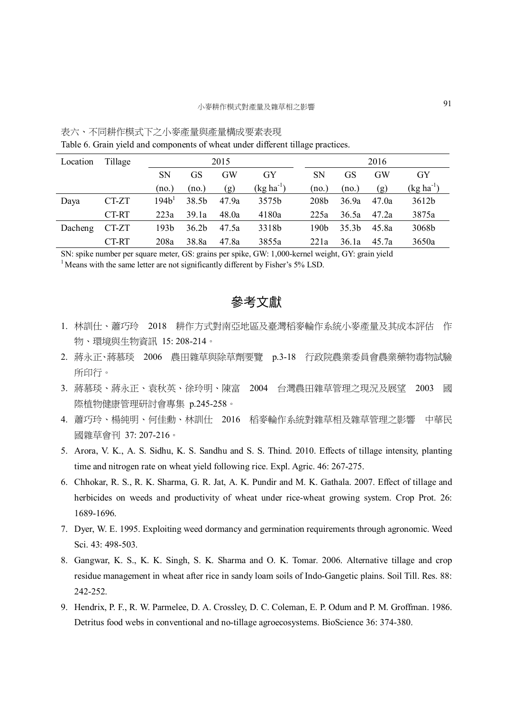| 表六、不同耕作模式下之小麥產量與產量構成要素表現 |  |
|--------------------------|--|
|                          |  |

Table 6. Grain yield and components of wheat under different tillage practices.

| Location | Tillage      |                  |       | 2015  |                   |           | 2016  |       |                |  |  |  |  |
|----------|--------------|------------------|-------|-------|-------------------|-----------|-------|-------|----------------|--|--|--|--|
|          |              | SN               | GS    | GW    | GY                | <b>SN</b> | GS    | GW    | GY             |  |  |  |  |
|          |              | (no.)            | (no.) | (g)   | $(kg ha^{-1})$    | (no.)     | (no.) | (g)   | $(kg ha^{-1})$ |  |  |  |  |
| Dava     | CT-ZT        | 194 <sup>1</sup> | 38.5b | 47.9a | 3575 <sub>b</sub> | 208b      | 36.9a | 47.0a | 3612b          |  |  |  |  |
|          | <b>CT-RT</b> | 223a             | 39.1a | 48.0a | 4180a             | 225a      | 36.5a | 47.2a | 3875a          |  |  |  |  |
| Dacheng  | CT-ZT        | 193 <sub>b</sub> | 36.2b | 47.5a | 3318b             | 190b      | 353h  | 45.8a | 3068b          |  |  |  |  |
|          | <b>CT-RT</b> | 208a             | 38.8a | 47.8a | 3855a             | 221a      | 36.1a | 45.7a | 3650a          |  |  |  |  |

SN: spike number per square meter, GS: grains per spike, GW: 1,000-kernel weight, GY: grain yield

 $1$  Means with the same letter are not significantly different by Fisher's 5% LSD.

## 參考文獻

- 1. 林訓仕、蕭巧玲 2018 耕作方式對南亞地區及臺灣稻麥輪作系統小麥產量及其成本評估 作 物、環境與生物資訊 15: 208-214。
- 2. 蔣永正、蔣慕琰 2006 農田雜草與除草劑要覽 p.3-18 行政院農業委員會農業藥物毒物試驗 所印行。
- 3. 蔣慕琰、蔣永正、袁秋英、徐玲明、陳富 2004 台灣農田雜草管理之現況及展望 2003 國 際植物健康管理研討會專集 p.245-258。
- 4. 蕭巧玲、楊純明、何佳勳、林訓仕 2016 稻麥輪作系統對雜草相及雜草管理之影響 中華民 國雜草會刊 37: 207-216。
- 5. Arora, V. K., A. S. Sidhu, K. S. Sandhu and S. S. Thind. 2010. Effects of tillage intensity, planting time and nitrogen rate on wheat yield following rice. Expl. Agric. 46: 267-275.
- 6. Chhokar, R. S., R. K. Sharma, G. R. Jat, A. K. Pundir and M. K. Gathala. 2007. Effect of tillage and herbicides on weeds and productivity of wheat under rice-wheat growing system. Crop Prot. 26: 1689-1696.
- 7. Dyer, W. E. 1995. Exploiting weed dormancy and germination requirements through agronomic. Weed Sci. 43: 498-503.
- 8. Gangwar, K. S., K. K. Singh, S. K. Sharma and O. K. Tomar. 2006. Alternative tillage and crop residue management in wheat after rice in sandy loam soils of Indo-Gangetic plains. Soil Till. Res. 88: 242-252.
- 9. Hendrix, P. F., R. W. Parmelee, D. A. Crossley, D. C. Coleman, E. P. Odum and P. M. Groffman. 1986. Detritus food webs in conventional and no-tillage agroecosystems. BioScience 36: 374-380.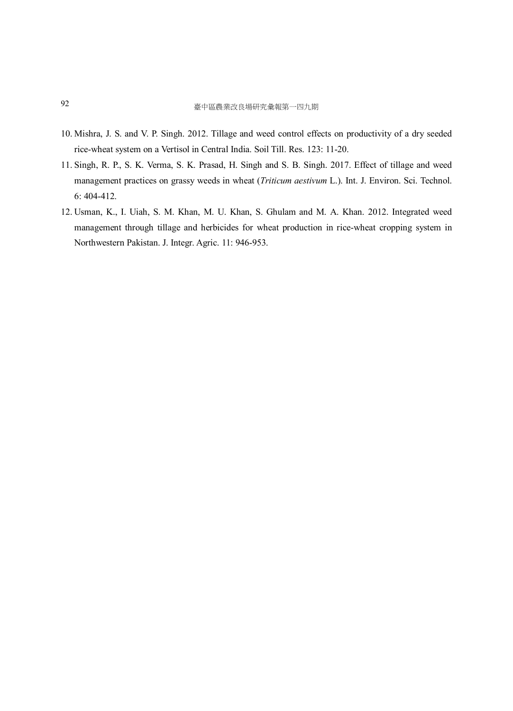- 10. Mishra, J. S. and V. P. Singh. 2012. Tillage and weed control effects on productivity of a dry seeded rice-wheat system on a Vertisol in Central India. Soil Till. Res. 123: 11-20.
- 11. Singh, R. P., S. K. Verma, S. K. Prasad, H. Singh and S. B. Singh. 2017. Effect of tillage and weed management practices on grassy weeds in wheat (*Triticum aestivum* L.). Int. J. Environ. Sci. Technol. 6: 404-412.
- 12. Usman, K., I. Uiah, S. M. Khan, M. U. Khan, S. Ghulam and M. A. Khan. 2012. Integrated weed management through tillage and herbicides for wheat production in rice-wheat cropping system in Northwestern Pakistan. J. Integr. Agric. 11: 946-953.